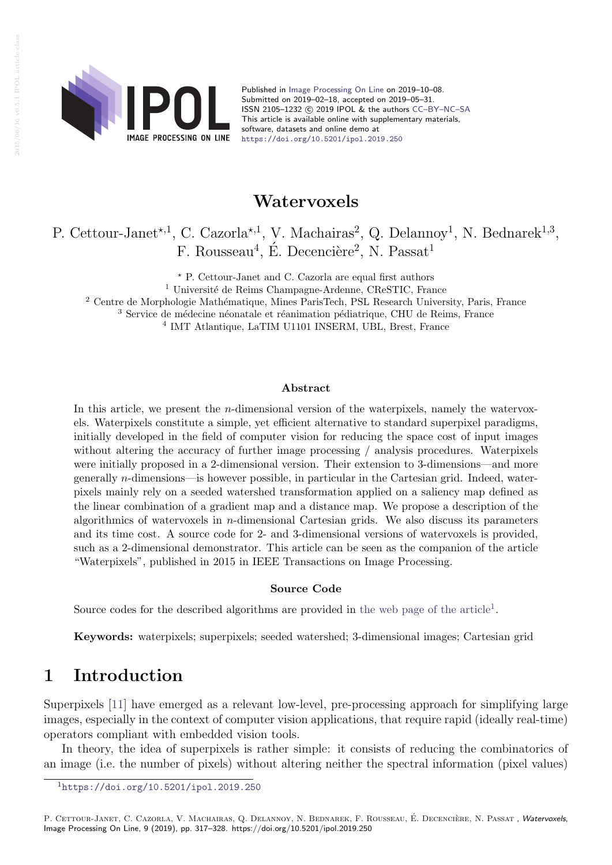

Published in [Image Processing On Line](https://doi.org/10.5201/ipol) on 2019–10–08. Submitted on 2019–02–18, accepted on 2019–05–31. ISSN 2105-1232 (c) 2019 IPOL & the authors CC-BY-NC-SA This article is available online with supplementary materials, software, datasets and online demo at <https://doi.org/10.5201/ipol.2019.250>

## Watervoxels

## P. Cettour-Janet<sup>\*,1</sup>, C. Cazorla<sup>\*,1</sup>, V. Machairas<sup>2</sup>, Q. Delannoy<sup>1</sup>, N. Bednarek<sup>1,3</sup>, F. Rousseau<sup>4</sup>, É. Decencière<sup>2</sup>, N. Passat<sup>1</sup>

? P. Cettour-Janet and C. Cazorla are equal first authors

 $1$  Université de Reims Champagne-Ardenne, CReSTIC, France

<sup>2</sup> Centre de Morphologie Mathématique, Mines ParisTech, PSL Research University, Paris, France

 $3$  Service de médecine néonatale et réanimation pédiatrique, CHU de Reims, France

4 IMT Atlantique, LaTIM U1101 INSERM, UBL, Brest, France

### Abstract

In this article, we present the *n*-dimensional version of the waterpixels, namely the watervoxels. Waterpixels constitute a simple, yet efficient alternative to standard superpixel paradigms, initially developed in the field of computer vision for reducing the space cost of input images without altering the accuracy of further image processing  $/$  analysis procedures. Waterpixels were initially proposed in a 2-dimensional version. Their extension to 3-dimensions—and more generally n-dimensions—is however possible, in particular in the Cartesian grid. Indeed, waterpixels mainly rely on a seeded watershed transformation applied on a saliency map defined as the linear combination of a gradient map and a distance map. We propose a description of the algorithmics of watervoxels in *n*-dimensional Cartesian grids. We also discuss its parameters and its time cost. A source code for 2- and 3-dimensional versions of watervoxels is provided, such as a 2-dimensional demonstrator. This article can be seen as the companion of the article "Waterpixels", published in 2015 in IEEE Transactions on Image Processing.

### Source Code

Source codes for the described algorithms are provided in [the web page of the article](https://doi.org/10.5201/ipol.2019.250)<sup>[1](#page-0-0)</sup>.

Keywords: waterpixels; superpixels; seeded watershed; 3-dimensional images; Cartesian grid

## 1 Introduction

Superpixels [\[11\]](#page-11-0) have emerged as a relevant low-level, pre-processing approach for simplifying large images, especially in the context of computer vision applications, that require rapid (ideally real-time) operators compliant with embedded vision tools.

In theory, the idea of superpixels is rather simple: it consists of reducing the combinatorics of an image (i.e. the number of pixels) without altering neither the spectral information (pixel values)

P. CETTOUR-JANET, C. CAZORLA, V. MACHAIRAS, O. DELANNOY, N. BEDNAREK, F. ROUSSEAU, É. DECENCIÈRE, N. PASSAT, Watervoxels, Image Processing On Line, 9 (2019), pp. 317–328. https://doi.org/10.5201/ipol.2019.250

<span id="page-0-0"></span><sup>1</sup><https://doi.org/10.5201/ipol.2019.250>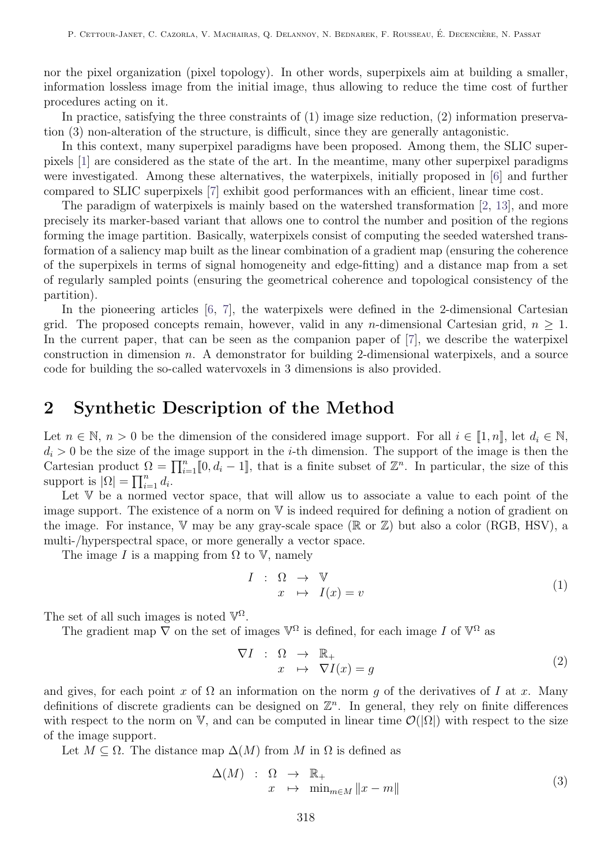nor the pixel organization (pixel topology). In other words, superpixels aim at building a smaller, information lossless image from the initial image, thus allowing to reduce the time cost of further procedures acting on it.

In practice, satisfying the three constraints of (1) image size reduction, (2) information preservation (3) non-alteration of the structure, is difficult, since they are generally antagonistic.

In this context, many superpixel paradigms have been proposed. Among them, the SLIC superpixels [\[1\]](#page-10-0) are considered as the state of the art. In the meantime, many other superpixel paradigms were investigated. Among these alternatives, the waterpixels, initially proposed in [\[6\]](#page-11-1) and further compared to SLIC superpixels [\[7\]](#page-11-2) exhibit good performances with an efficient, linear time cost.

The paradigm of waterpixels is mainly based on the watershed transformation [\[2,](#page-10-1) [13\]](#page-11-3), and more precisely its marker-based variant that allows one to control the number and position of the regions forming the image partition. Basically, waterpixels consist of computing the seeded watershed transformation of a saliency map built as the linear combination of a gradient map (ensuring the coherence of the superpixels in terms of signal homogeneity and edge-fitting) and a distance map from a set of regularly sampled points (ensuring the geometrical coherence and topological consistency of the partition).

In the pioneering articles [\[6,](#page-11-1) [7\]](#page-11-2), the waterpixels were defined in the 2-dimensional Cartesian grid. The proposed concepts remain, however, valid in any *n*-dimensional Cartesian grid,  $n \geq 1$ . In the current paper, that can be seen as the companion paper of  $[7]$ , we describe the waterpixel construction in dimension  $n$ . A demonstrator for building 2-dimensional waterpixels, and a source code for building the so-called watervoxels in 3 dimensions is also provided.

## 2 Synthetic Description of the Method

Let  $n \in \mathbb{N}$ ,  $n > 0$  be the dimension of the considered image support. For all  $i \in [1, n]$ , let  $d_i \in \mathbb{N}$ ,  $d_i > 0$  be the size of the image support in the *i*-th dimension. The support of the image is then the Cartesian product  $\Omega = \prod_{i=1}^n [0, d_i - 1]$ , that is a finite subset of  $\mathbb{Z}^n$ . In particular, the size of this support is  $|\Omega| = \prod_{i=1}^n d_i$ .

Let V be a normed vector space, that will allow us to associate a value to each point of the image support. The existence of a norm on V is indeed required for defining a notion of gradient on the image. For instance,  $\nabla$  may be any gray-scale space ( $\mathbb R$  or  $\mathbb Z$ ) but also a color (RGB, HSV), a multi-/hyperspectral space, or more generally a vector space.

The image I is a mapping from  $\Omega$  to  $V$ , namely

$$
I : \Omega \to \mathbb{V}
$$
  

$$
x \mapsto I(x) = v
$$
 (1)

The set of all such images is noted  $\mathbb{V}^{\Omega}$ .

The gradient map  $\nabla$  on the set of images  $\mathbb{V}^{\Omega}$  is defined, for each image I of  $\mathbb{V}^{\Omega}$  as

<span id="page-1-0"></span>
$$
\nabla I : \Omega \to \mathbb{R}_+ \n x \mapsto \nabla I(x) = g
$$
\n(2)

and gives, for each point x of  $\Omega$  an information on the norm q of the derivatives of I at x. Many definitions of discrete gradients can be designed on  $\mathbb{Z}^n$ . In general, they rely on finite differences with respect to the norm on V, and can be computed in linear time  $\mathcal{O}(|\Omega|)$  with respect to the size of the image support.

Let  $M \subseteq \Omega$ . The distance map  $\Delta(M)$  from M in  $\Omega$  is defined as

$$
\Delta(M) \quad : \quad \Omega \quad \to \quad \mathbb{R}_+ \\
x \quad \mapsto \quad \min_{m \in M} \|x - m\|
$$
\n
$$
(3)
$$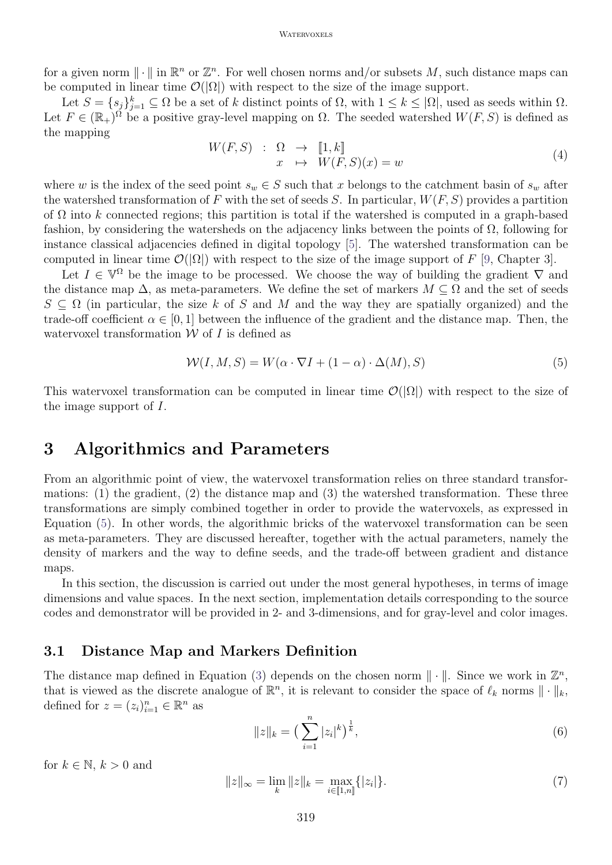#### **WATERVOXELS**

for a given norm  $\|\cdot\|$  in  $\mathbb{R}^n$  or  $\mathbb{Z}^n$ . For well chosen norms and/or subsets M, such distance maps can be computed in linear time  $\mathcal{O}(|\Omega|)$  with respect to the size of the image support.

Let  $S = \{s_j\}_{j=1}^k \subseteq \Omega$  be a set of k distinct points of  $\Omega$ , with  $1 \leq k \leq |\Omega|$ , used as seeds within  $\Omega$ . Let  $F \in (\mathbb{R}_+)^{\Omega}$  be a positive gray-level mapping on  $\Omega$ . The seeded watershed  $W(F, S)$  is defined as the mapping

$$
W(F, S) : \Omega \to [1, k] \n x \mapsto W(F, S)(x) = w
$$
\n(4)

where w is the index of the seed point  $s_w \in S$  such that x belongs to the catchment basin of  $s_w$  after the watershed transformation of F with the set of seeds S. In particular,  $W(F, S)$  provides a partition of  $\Omega$  into k connected regions; this partition is total if the watershed is computed in a graph-based fashion, by considering the watersheds on the adjacency links between the points of  $\Omega$ , following for instance classical adjacencies defined in digital topology [\[5\]](#page-10-2). The watershed transformation can be computed in linear time  $\mathcal{O}(|\Omega|)$  with respect to the size of the image support of F [\[9,](#page-11-4) Chapter 3].

Let  $I \in \mathbb{V}^{\Omega}$  be the image to be processed. We choose the way of building the gradient  $\nabla$  and the distance map  $\Delta$ , as meta-parameters. We define the set of markers  $M \subseteq \Omega$  and the set of seeds  $S \subseteq \Omega$  (in particular, the size k of S and M and the way they are spatially organized) and the trade-off coefficient  $\alpha \in [0, 1]$  between the influence of the gradient and the distance map. Then, the watervoxel transformation  $W$  of  $I$  is defined as

<span id="page-2-0"></span>
$$
W(I, M, S) = W(\alpha \cdot \nabla I + (1 - \alpha) \cdot \Delta(M), S)
$$
\n<sup>(5)</sup>

This watervoxel transformation can be computed in linear time  $\mathcal{O}(|\Omega|)$  with respect to the size of the image support of I.

## <span id="page-2-1"></span>3 Algorithmics and Parameters

From an algorithmic point of view, the watervoxel transformation relies on three standard transformations: (1) the gradient, (2) the distance map and (3) the watershed transformation. These three transformations are simply combined together in order to provide the watervoxels, as expressed in Equation [\(5\)](#page-2-0). In other words, the algorithmic bricks of the watervoxel transformation can be seen as meta-parameters. They are discussed hereafter, together with the actual parameters, namely the density of markers and the way to define seeds, and the trade-off between gradient and distance maps.

In this section, the discussion is carried out under the most general hypotheses, in terms of image dimensions and value spaces. In the next section, implementation details corresponding to the source codes and demonstrator will be provided in 2- and 3-dimensions, and for gray-level and color images.

### 3.1 Distance Map and Markers Definition

The distance map defined in Equation [\(3\)](#page-1-0) depends on the chosen norm  $\|\cdot\|$ . Since we work in  $\mathbb{Z}^n$ , that is viewed as the discrete analogue of  $\mathbb{R}^n$ , it is relevant to consider the space of  $\ell_k$  norms  $\|\cdot\|_k$ , defined for  $z = (z_i)_{i=1}^n \in \mathbb{R}^n$  as

$$
||z||_{k} = \left(\sum_{i=1}^{n} |z_{i}|^{k}\right)^{\frac{1}{k}},\tag{6}
$$

for  $k \in \mathbb{N}$ ,  $k > 0$  and

$$
||z||_{\infty} = \lim_{k} ||z||_{k} = \max_{i \in [1,n]} \{|z_{i}|\}.
$$
\n(7)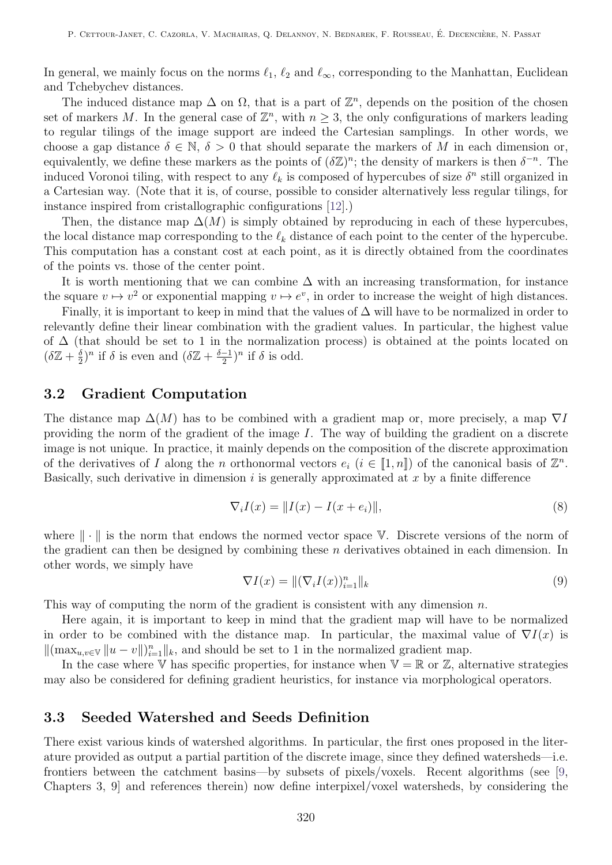In general, we mainly focus on the norms  $\ell_1$ ,  $\ell_2$  and  $\ell_{\infty}$ , corresponding to the Manhattan, Euclidean and Tchebychev distances.

The induced distance map  $\Delta$  on  $\Omega$ , that is a part of  $\mathbb{Z}^n$ , depends on the position of the chosen set of markers M. In the general case of  $\mathbb{Z}^n$ , with  $n \geq 3$ , the only configurations of markers leading to regular tilings of the image support are indeed the Cartesian samplings. In other words, we choose a gap distance  $\delta \in \mathbb{N}, \delta > 0$  that should separate the markers of M in each dimension or, equivalently, we define these markers as the points of  $(\delta \mathbb{Z})^n$ ; the density of markers is then  $\delta^{-n}$ . The induced Voronoi tiling, with respect to any  $\ell_k$  is composed of hypercubes of size  $\delta^n$  still organized in a Cartesian way. (Note that it is, of course, possible to consider alternatively less regular tilings, for instance inspired from cristallographic configurations [\[12\]](#page-11-5).)

Then, the distance map  $\Delta(M)$  is simply obtained by reproducing in each of these hypercubes, the local distance map corresponding to the  $\ell_k$  distance of each point to the center of the hypercube. This computation has a constant cost at each point, as it is directly obtained from the coordinates of the points vs. those of the center point.

It is worth mentioning that we can combine  $\Delta$  with an increasing transformation, for instance the square  $v \mapsto v^2$  or exponential mapping  $v \mapsto e^v$ , in order to increase the weight of high distances.

Finally, it is important to keep in mind that the values of  $\Delta$  will have to be normalized in order to relevantly define their linear combination with the gradient values. In particular, the highest value of ∆ (that should be set to 1 in the normalization process) is obtained at the points located on  $(\delta \mathbb{Z} + \frac{\delta}{2})$  $(\delta \frac{\delta}{2})^n$  if  $\delta$  is even and  $(\delta \mathbb{Z} + \frac{\delta - 1}{2})$  $\frac{-1}{2}$ <sup>n</sup> if  $\delta$  is odd.

### 3.2 Gradient Computation

The distance map  $\Delta(M)$  has to be combined with a gradient map or, more precisely, a map  $\nabla I$ providing the norm of the gradient of the image I. The way of building the gradient on a discrete image is not unique. In practice, it mainly depends on the composition of the discrete approximation of the derivatives of I along the n orthonormal vectors  $e_i$   $(i \in [1, n])$  of the canonical basis of  $\mathbb{Z}^n$ . Basically, such derivative in dimension  $i$  is generally approximated at  $x$  by a finite difference

$$
\nabla_i I(x) = ||I(x) - I(x + e_i)||,
$$
\n(8)

where  $\|\cdot\|$  is the norm that endows the normed vector space V. Discrete versions of the norm of the gradient can then be designed by combining these  $n$  derivatives obtained in each dimension. In other words, we simply have

$$
\nabla I(x) = \|(\nabla_i I(x))_{i=1}^n\|_k \tag{9}
$$

This way of computing the norm of the gradient is consistent with any dimension  $n$ .

Here again, it is important to keep in mind that the gradient map will have to be normalized in order to be combined with the distance map. In particular, the maximal value of  $\nabla I(x)$  is  $\|(\max_{u,v\in\mathbb{V}}\|u-v\|)_{i=1}^n\|_k$ , and should be set to 1 in the normalized gradient map.

In the case where V has specific properties, for instance when  $\mathbb{V} = \mathbb{R}$  or  $\mathbb{Z}$ , alternative strategies may also be considered for defining gradient heuristics, for instance via morphological operators.

### <span id="page-3-0"></span>3.3 Seeded Watershed and Seeds Definition

There exist various kinds of watershed algorithms. In particular, the first ones proposed in the literature provided as output a partial partition of the discrete image, since they defined watersheds—i.e. frontiers between the catchment basins—by subsets of pixels/voxels. Recent algorithms (see [\[9,](#page-11-4) Chapters 3, 9] and references therein) now define interpixel/voxel watersheds, by considering the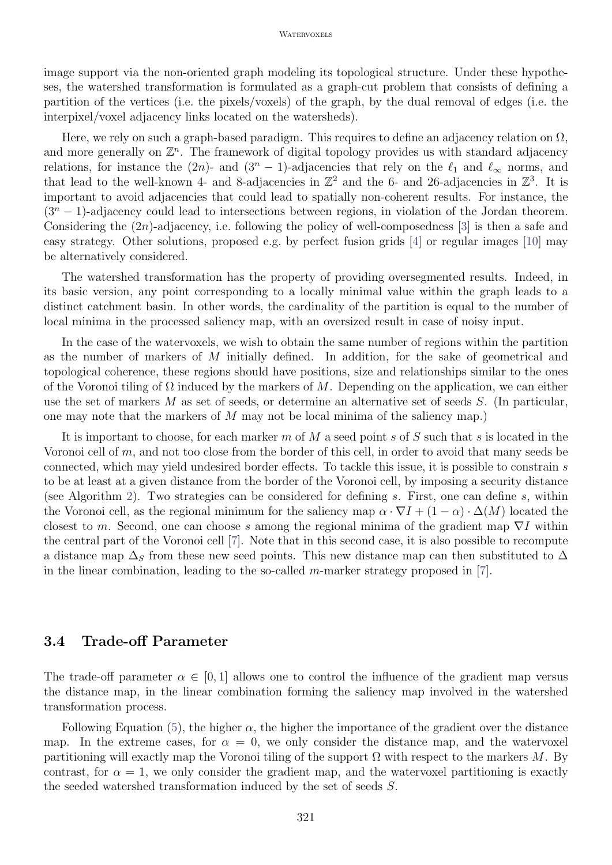#### **WATERVOXELS**

image support via the non-oriented graph modeling its topological structure. Under these hypotheses, the watershed transformation is formulated as a graph-cut problem that consists of defining a partition of the vertices (i.e. the pixels/voxels) of the graph, by the dual removal of edges (i.e. the interpixel/voxel adjacency links located on the watersheds).

Here, we rely on such a graph-based paradigm. This requires to define an adjacency relation on  $\Omega$ , and more generally on  $\mathbb{Z}^n$ . The framework of digital topology provides us with standard adjacency relations, for instance the  $(2n)$ - and  $(3<sup>n</sup> - 1)$ -adjacencies that rely on the  $\ell_1$  and  $\ell_{\infty}$  norms, and that lead to the well-known 4- and 8-adjacencies in  $\mathbb{Z}^2$  and the 6- and 26-adjacencies in  $\mathbb{Z}^3$ . It is important to avoid adjacencies that could lead to spatially non-coherent results. For instance, the  $(3<sup>n</sup> - 1)$ -adjacency could lead to intersections between regions, in violation of the Jordan theorem. Considering the  $(2n)$ -adjacency, i.e. following the policy of well-composedness [\[3\]](#page-10-3) is then a safe and easy strategy. Other solutions, proposed e.g. by perfect fusion grids [\[4\]](#page-10-4) or regular images [\[10\]](#page-11-6) may be alternatively considered.

The watershed transformation has the property of providing oversegmented results. Indeed, in its basic version, any point corresponding to a locally minimal value within the graph leads to a distinct catchment basin. In other words, the cardinality of the partition is equal to the number of local minima in the processed saliency map, with an oversized result in case of noisy input.

In the case of the watervoxels, we wish to obtain the same number of regions within the partition as the number of markers of M initially defined. In addition, for the sake of geometrical and topological coherence, these regions should have positions, size and relationships similar to the ones of the Voronoi tiling of  $\Omega$  induced by the markers of M. Depending on the application, we can either use the set of markers M as set of seeds, or determine an alternative set of seeds S. (In particular, one may note that the markers of M may not be local minima of the saliency map.)

It is important to choose, for each marker  $m$  of  $M$  a seed point  $s$  of  $S$  such that  $s$  is located in the Voronoi cell of m, and not too close from the border of this cell, in order to avoid that many seeds be connected, which may yield undesired border effects. To tackle this issue, it is possible to constrain s to be at least at a given distance from the border of the Voronoi cell, by imposing a security distance (see Algorithm [2\)](#page-7-0). Two strategies can be considered for defining s. First, one can define s, within the Voronoi cell, as the regional minimum for the saliency map  $\alpha \cdot \nabla I + (1 - \alpha) \cdot \Delta(M)$  located the closest to m. Second, one can choose s among the regional minima of the gradient map  $\nabla I$  within the central part of the Voronoi cell [\[7\]](#page-11-2). Note that in this second case, it is also possible to recompute a distance map  $\Delta_S$  from these new seed points. This new distance map can then substituted to  $\Delta$ in the linear combination, leading to the so-called m-marker strategy proposed in  $[7]$ .

### 3.4 Trade-off Parameter

The trade-off parameter  $\alpha \in [0,1]$  allows one to control the influence of the gradient map versus the distance map, in the linear combination forming the saliency map involved in the watershed transformation process.

Following Equation [\(5\)](#page-2-0), the higher  $\alpha$ , the higher the importance of the gradient over the distance map. In the extreme cases, for  $\alpha = 0$ , we only consider the distance map, and the watervoxel partitioning will exactly map the Voronoi tiling of the support  $\Omega$  with respect to the markers M. By contrast, for  $\alpha = 1$ , we only consider the gradient map, and the watervoxel partitioning is exactly the seeded watershed transformation induced by the set of seeds S.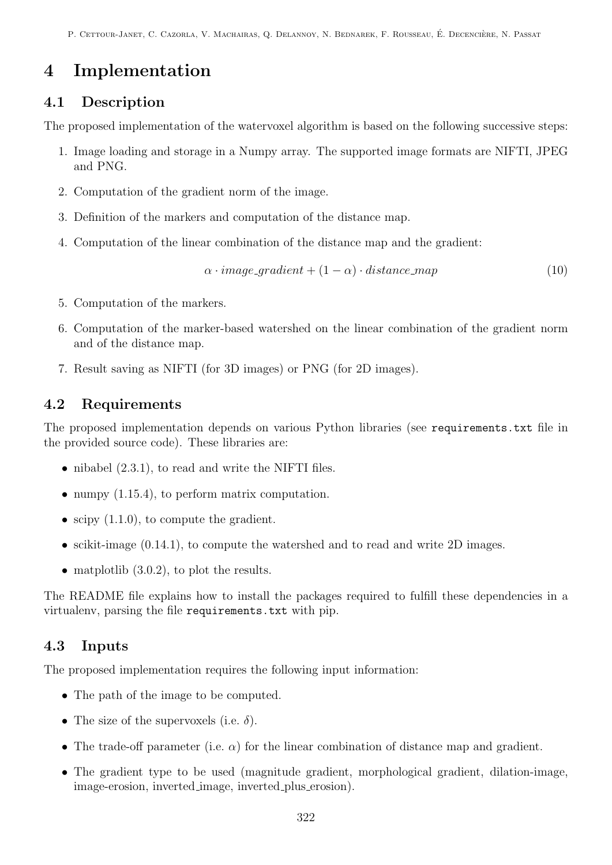# 4 Implementation

## 4.1 Description

The proposed implementation of the watervoxel algorithm is based on the following successive steps:

- 1. Image loading and storage in a Numpy array. The supported image formats are NIFTI, JPEG and PNG.
- 2. Computation of the gradient norm of the image.
- 3. Definition of the markers and computation of the distance map.
- 4. Computation of the linear combination of the distance map and the gradient:

$$
\alpha \cdot image\_gradient + (1 - \alpha) \cdot distance\_map \tag{10}
$$

- 5. Computation of the markers.
- 6. Computation of the marker-based watershed on the linear combination of the gradient norm and of the distance map.
- 7. Result saving as NIFTI (for 3D images) or PNG (for 2D images).

## 4.2 Requirements

The proposed implementation depends on various Python libraries (see requirements.txt file in the provided source code). These libraries are:

- $\bullet$  nibabel  $(2.3.1)$ , to read and write the NIFTI files.
- numpy  $(1.15.4)$ , to perform matrix computation.
- scipy  $(1.1.0)$ , to compute the gradient.
- scikit-image  $(0.14.1)$ , to compute the watershed and to read and write 2D images.
- matplotlib  $(3.0.2)$ , to plot the results.

The README file explains how to install the packages required to fulfill these dependencies in a virtualenv, parsing the file requirements.txt with pip.

## 4.3 Inputs

The proposed implementation requires the following input information:

- The path of the image to be computed.
- The size of the supervoxels (i.e.  $\delta$ ).
- The trade-off parameter (i.e.  $\alpha$ ) for the linear combination of distance map and gradient.
- The gradient type to be used (magnitude gradient, morphological gradient, dilation-image, image-erosion, inverted image, inverted plus erosion).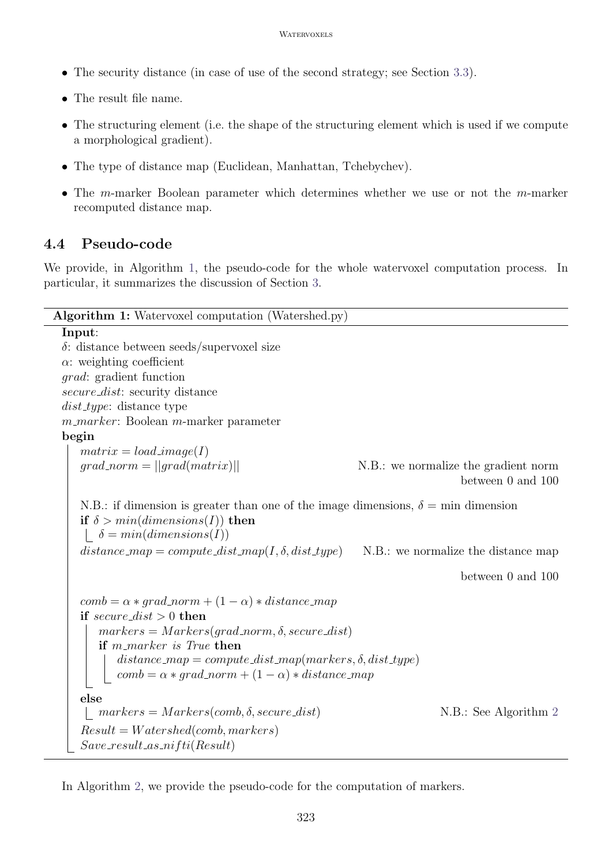- The security distance (in case of use of the second strategy; see Section [3.3\)](#page-3-0).
- The result file name.
- The structuring element (i.e. the shape of the structuring element which is used if we compute a morphological gradient).
- The type of distance map (Euclidean, Manhattan, Tchebychev).
- The m-marker Boolean parameter which determines whether we use or not the m-marker recomputed distance map.

## 4.4 Pseudo-code

We provide, in Algorithm [1,](#page-6-0) the pseudo-code for the whole watervoxel computation process. In particular, it summarizes the discussion of Section [3.](#page-2-1)

```
Algorithm 1: Watervoxel computation (Watershed.py)
Input:
δ: distance between seeds/supervoxel size
\alpha: weighting coefficient
grad: gradient function
secure_dist: security distance
dist_type: distance type
m\_marker: Boolean m-marker parameterbegin
   matrix = load\_image(I)qrad\_norm = ||qrad(matrix)|| N.B.: we normalize the gradient norm
                                                                       between 0 and 100
   N.B.: if dimension is greater than one of the image dimensions, \delta = \min dimension
   if \delta > min(dimensions(I)) then
    \delta = min(dimensions(I))distance map = compute dist map(I, \delta, dist type) N.B.: we normalize the distance map
                                                                       between 0 and 100
   comb = \alpha * grad-norm + (1 - \alpha) * distance_mapif secure\_dist > 0 then
      markers = Marks(qrad\_norm, \delta, secure\_dist)if m\_marker is True then
          distance_map = compute\_dist_map(markers, \delta, dist\_type)comb = \alpha * grad_{norm} + (1 - \alpha) * distance_{map}else
    \mid markers = Markers(comb, \delta2
   Result = Watershed(comb, markers)Save\_result\_as\_nifti(Result)
```
<span id="page-6-0"></span>In Algorithm [2,](#page-7-0) we provide the pseudo-code for the computation of markers.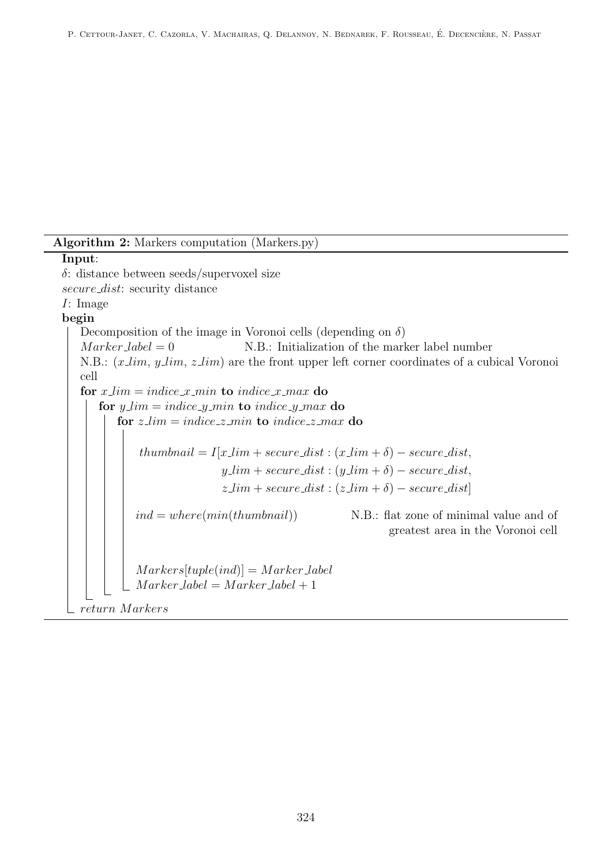<span id="page-7-0"></span>Algorithm 2: Markers computation (Markers.py) Input: δ: distance between seeds/supervoxel size secure\_dist: security distance I: Image begin Decomposition of the image in Voronoi cells (depending on  $\delta$ )  $Market = 0$  N.B.: Initialization of the marker label number N.B.:  $(x \text{lim}, y \text{lim}, z \text{lim})$  are the front upper left corner coordinates of a cubical Voronoi cell for  $x$ <sub>-lim</sub> = indice  $x$ <sub>-min</sub> to indice  $x$ <sub>-max</sub> do for  $y_l = indicate_l y_l = in dieeg_l - in dieeg_l - in dieeg_l$ for  $z$ <sub>-lim</sub> = indice<sub>- $z$ -min to indice<sub>- $z$ -max</sub> do</sub>  $thumbnail = I[x\_lim + secure\_dist : (x\_lim + \delta) - secure\_dist,$  $y\_\_\_\_\_\$  + secure\_dist :  $(y\_\_\_\_\ + \delta)$  – secure\_dist,  $z\lim + secure\_dist : (z\lim + \delta) - secure\_dist]$  $ind = where(min(thumbnail))$  N.B.: flat zone of minimal value and of greatest area in the Voronoi cell  $Markers[tuple(ind)] = Marker\_label$  $Market \text{-}label = Market \text{-}label + 1$ return M arkers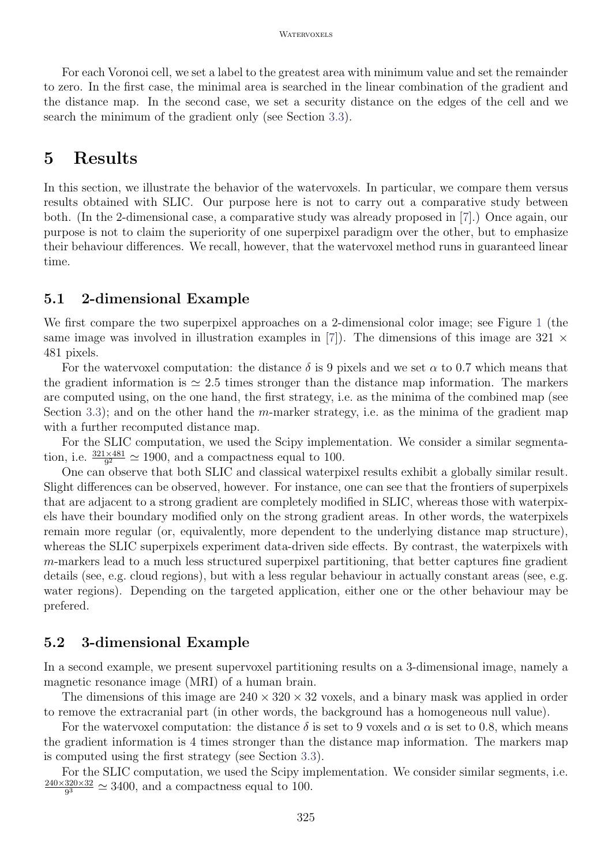For each Voronoi cell, we set a label to the greatest area with minimum value and set the remainder to zero. In the first case, the minimal area is searched in the linear combination of the gradient and the distance map. In the second case, we set a security distance on the edges of the cell and we search the minimum of the gradient only (see Section [3.3\)](#page-3-0).

## 5 Results

In this section, we illustrate the behavior of the watervoxels. In particular, we compare them versus results obtained with SLIC. Our purpose here is not to carry out a comparative study between both. (In the 2-dimensional case, a comparative study was already proposed in [\[7\]](#page-11-2).) Once again, our purpose is not to claim the superiority of one superpixel paradigm over the other, but to emphasize their behaviour differences. We recall, however, that the watervoxel method runs in guaranteed linear time.

### 5.1 2-dimensional Example

We first compare the two superpixel approaches on a 2-dimensional color image; see Figure [1](#page-9-0) (the same image was involved in illustration examples in [\[7\]](#page-11-2)). The dimensions of this image are 321  $\times$ 481 pixels.

For the watervoxel computation: the distance  $\delta$  is 9 pixels and we set  $\alpha$  to 0.7 which means that the gradient information is  $\simeq 2.5$  times stronger than the distance map information. The markers are computed using, on the one hand, the first strategy, i.e. as the minima of the combined map (see Section [3.3\)](#page-3-0); and on the other hand the m-marker strategy, i.e. as the minima of the gradient map with a further recomputed distance map.

For the SLIC computation, we used the Scipy implementation. We consider a similar segmentation, i.e.  $\frac{321\times481}{9^2} \simeq 1900$ , and a compactness equal to 100.

One can observe that both SLIC and classical waterpixel results exhibit a globally similar result. Slight differences can be observed, however. For instance, one can see that the frontiers of superpixels that are adjacent to a strong gradient are completely modified in SLIC, whereas those with waterpixels have their boundary modified only on the strong gradient areas. In other words, the waterpixels remain more regular (or, equivalently, more dependent to the underlying distance map structure), whereas the SLIC superpixels experiment data-driven side effects. By contrast, the waterpixels with  $m$ -markers lead to a much less structured superpixel partitioning, that better captures fine gradient details (see, e.g. cloud regions), but with a less regular behaviour in actually constant areas (see, e.g. water regions). Depending on the targeted application, either one or the other behaviour may be prefered.

### 5.2 3-dimensional Example

In a second example, we present supervoxel partitioning results on a 3-dimensional image, namely a magnetic resonance image (MRI) of a human brain.

The dimensions of this image are  $240 \times 320 \times 32$  voxels, and a binary mask was applied in order to remove the extracranial part (in other words, the background has a homogeneous null value).

For the watervoxel computation: the distance  $\delta$  is set to 9 voxels and  $\alpha$  is set to 0.8, which means the gradient information is 4 times stronger than the distance map information. The markers map is computed using the first strategy (see Section [3.3\)](#page-3-0).

For the SLIC computation, we used the Scipy implementation. We consider similar segments, i.e. 240×320×32  $\frac{320\times32}{9^3} \simeq 3400$ , and a compactness equal to 100.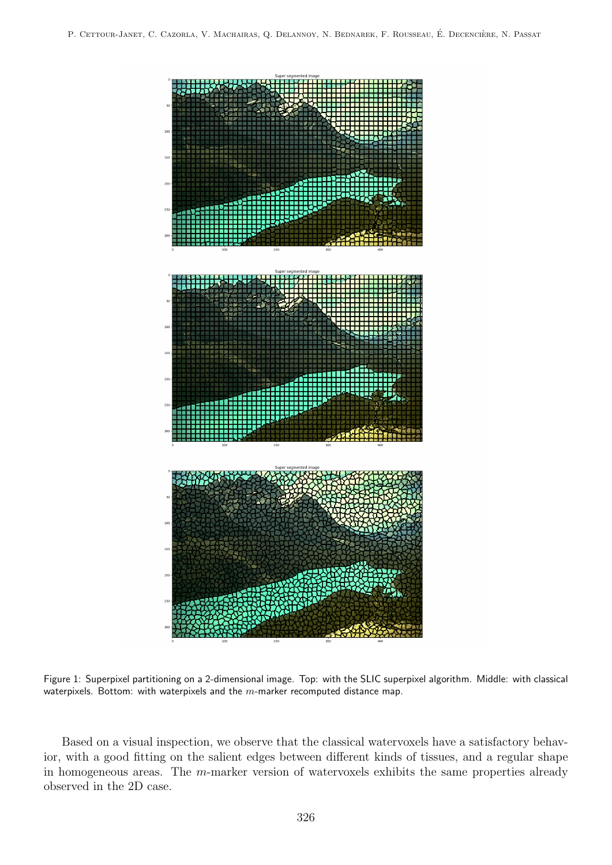<span id="page-9-0"></span>

Figure 1: Superpixel partitioning on a 2-dimensional image. Top: with the SLIC superpixel algorithm. Middle: with classical waterpixels. Bottom: with waterpixels and the  $m$ -marker recomputed distance map.

Based on a visual inspection, we observe that the classical watervoxels have a satisfactory behavior, with a good fitting on the salient edges between different kinds of tissues, and a regular shape in homogeneous areas. The m-marker version of watervoxels exhibits the same properties already observed in the 2D case.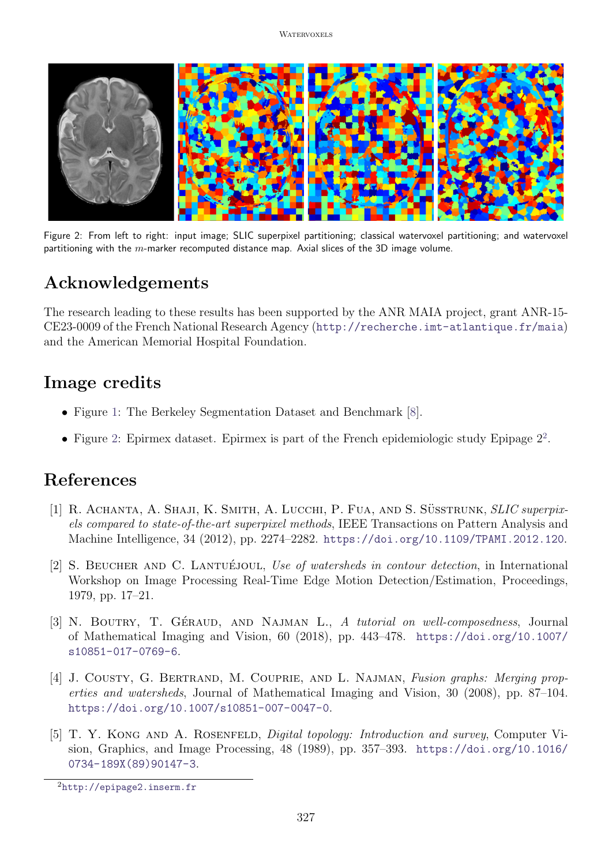<span id="page-10-5"></span>

Figure 2: From left to right: input image; SLIC superpixel partitioning; classical watervoxel partitioning; and watervoxel partitioning with the  $m$ -marker recomputed distance map. Axial slices of the 3D image volume.

# Acknowledgements

The research leading to these results has been supported by the ANR MAIA project, grant ANR-15- CE23-0009 of the French National Research Agency (<http://recherche.imt-atlantique.fr/maia>) and the American Memorial Hospital Foundation.

## Image credits

- Figure [1:](#page-9-0) The Berkeley Segmentation Dataset and Benchmark [\[8\]](#page-11-7).
- Figure [2:](#page-10-5) Epirmex dataset. Epirmex is part of the French epidemiologic study Epipage  $2^2$  $2^2$ .

## References

- <span id="page-10-0"></span>[1] R. ACHANTA, A. SHAJI, K. SMITH, A. LUCCHI, P. FUA, AND S. SÜSSTRUNK, SLIC superpixels compared to state-of-the-art superpixel methods, IEEE Transactions on Pattern Analysis and Machine Intelligence, 34 (2012), pp. 2274–2282. <https://doi.org/10.1109/TPAMI.2012.120>.
- <span id="page-10-1"></span>[2] S. BEUCHER AND C. LANTUÉJOUL, Use of watersheds in contour detection, in International Workshop on Image Processing Real-Time Edge Motion Detection/Estimation, Proceedings, 1979, pp. 17–21.
- <span id="page-10-3"></span>[3] N. BOUTRY, T. GÉRAUD, AND NAJMAN L., A tutorial on well-composedness, Journal of Mathematical Imaging and Vision, 60 (2018), pp. 443–478. [https://doi.org/10.1007/](https://doi.org/10.1007/s10851-017-0769-6) [s10851-017-0769-6](https://doi.org/10.1007/s10851-017-0769-6).
- <span id="page-10-4"></span>[4] J. COUSTY, G. BERTRAND, M. COUPRIE, AND L. NAJMAN, Fusion graphs: Merging properties and watersheds, Journal of Mathematical Imaging and Vision, 30 (2008), pp. 87–104. <https://doi.org/10.1007/s10851-007-0047-0>.
- <span id="page-10-2"></span>[5] T. Y. Kong and A. Rosenfeld, Digital topology: Introduction and survey, Computer Vision, Graphics, and Image Processing, 48 (1989), pp. 357–393. [https://doi.org/10.1016/](https://doi.org/10.1016/0734-189X(89)90147-3) [0734-189X\(89\)90147-3](https://doi.org/10.1016/0734-189X(89)90147-3).

<span id="page-10-6"></span><sup>2</sup><http://epipage2.inserm.fr>